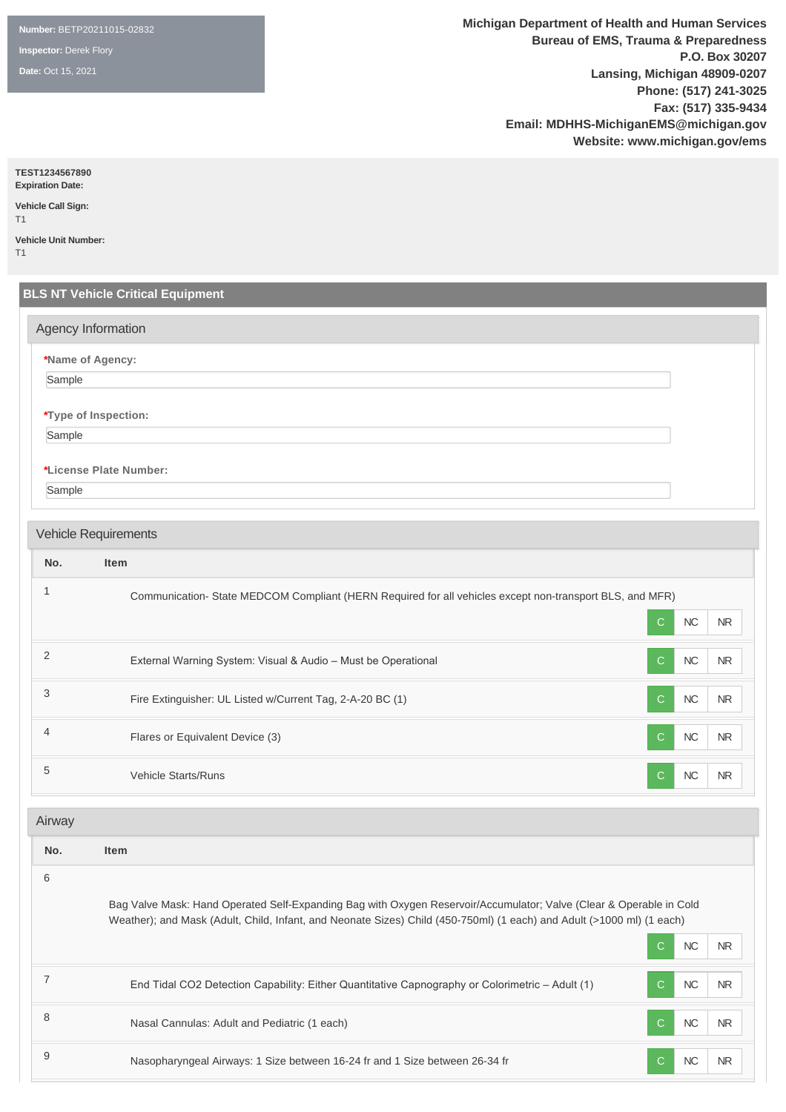**Number:** BETP20211015-02832

**Inspector:** Derek Flory

**Date:** Oct 15, 2021

**Michigan Department of Health and Human Services Bureau of EMS, Trauma & Preparedness P.O. Box 30207 Lansing, Michigan 48909-0207 Phone: (517) 241-3025 Fax: (517) 335-9434 Email: MDHHS-MichiganEMS@michigan.gov Website: www.michigan.gov/ems**

**TEST1234567890**

**Expiration Date: Vehicle Call Sign:** 

T1 **Vehicle Unit Number:** 

T1

# **BLS NT Vehicle Critical Equipment \*Name of Agency:** Sample **\*Type of Inspection:** Sample **\*License Plate Number:** Sample **No. Item** <sup>1</sup> Communication- State MEDCOM Compliant (HERN Required for all vehicles except non-transport BLS, and MFR) C NC NR 2 External Warning System: Visual & Audio – Must be Operational C NC NR 3 Fire Extinguisher: UL Listed w/Current Tag, 2-A-20 BC (1) C NC NR 4 **Flares or Equivalent Device (3)** C NC NR 5 Vehicle Starts/Runs C NC NR **No. Item** 6 Bag Valve Mask: Hand Operated Self-Expanding Bag with Oxygen Reservoir/Accumulator; Valve (Clear & Operable in Cold Weather); and Mask (Adult, Child, Infant, and Neonate Sizes) Child (450-750ml) (1 each) and Adult (>1000 ml) (1 each) C NC NR Agency Information Vehicle Requirements Airway

| End Tidal CO2 Detection Capability: Either Quantitative Capnography or Colorimetric - Adult (1) | NC        | <b>NR</b> |
|-------------------------------------------------------------------------------------------------|-----------|-----------|
| Nasal Cannulas: Adult and Pediatric (1 each)                                                    | <b>NC</b> |           |
| Nasopharyngeal Airways: 1 Size between 16-24 fr and 1 Size between 26-34 fr                     |           | <b>NR</b> |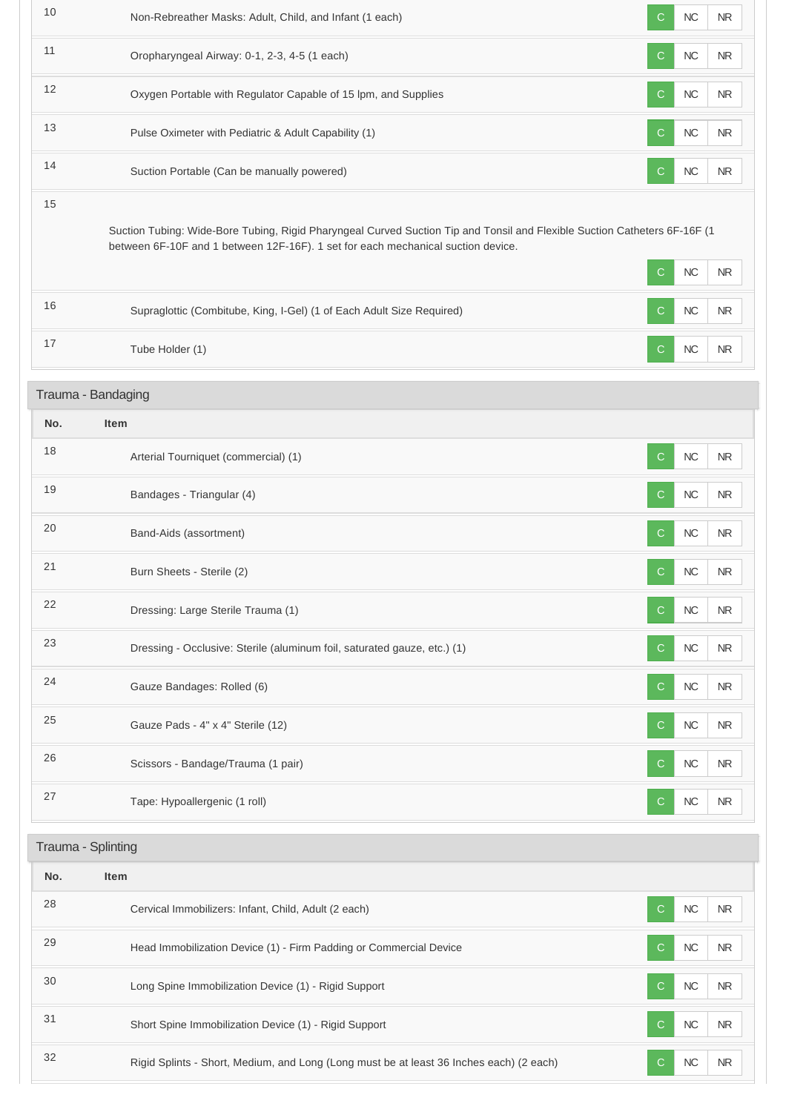| 10                                                                                                                                                                                                                  | Non-Rebreather Masks: Adult, Child, and Infant (1 each)                                 | $\mathsf{C}$ | <b>NC</b> | <b>NR</b>  |  |  |
|---------------------------------------------------------------------------------------------------------------------------------------------------------------------------------------------------------------------|-----------------------------------------------------------------------------------------|--------------|-----------|------------|--|--|
| 11                                                                                                                                                                                                                  | Oropharyngeal Airway: 0-1, 2-3, 4-5 (1 each)                                            | C            | $NC$      | <b>NR</b>  |  |  |
| 12                                                                                                                                                                                                                  | Oxygen Portable with Regulator Capable of 15 lpm, and Supplies                          | $\mathsf{C}$ | $NC$      | <b>NR</b>  |  |  |
| 13                                                                                                                                                                                                                  | Pulse Oximeter with Pediatric & Adult Capability (1)                                    | $\mathsf{C}$ | $NC$      | <b>NR</b>  |  |  |
| 14                                                                                                                                                                                                                  | Suction Portable (Can be manually powered)                                              | C            | $NC$      | <b>NR</b>  |  |  |
| 15<br>Suction Tubing: Wide-Bore Tubing, Rigid Pharyngeal Curved Suction Tip and Tonsil and Flexible Suction Catheters 6F-16F (1<br>between 6F-10F and 1 between 12F-16F). 1 set for each mechanical suction device. |                                                                                         |              |           |            |  |  |
|                                                                                                                                                                                                                     |                                                                                         | C            | $NC$      | <b>NR</b>  |  |  |
| 16                                                                                                                                                                                                                  | Supraglottic (Combitube, King, I-Gel) (1 of Each Adult Size Required)                   | $\mathbf C$  | NC        | ${\sf NR}$ |  |  |
| 17                                                                                                                                                                                                                  | Tube Holder (1)                                                                         | C            | NC        | ${\sf NR}$ |  |  |
|                                                                                                                                                                                                                     | Trauma - Bandaging                                                                      |              |           |            |  |  |
| No.                                                                                                                                                                                                                 | <b>Item</b>                                                                             |              |           |            |  |  |
| 18                                                                                                                                                                                                                  | Arterial Tourniquet (commercial) (1)                                                    | C            | NC        | NR.        |  |  |
| 19                                                                                                                                                                                                                  | Bandages - Triangular (4)                                                               | $\mathsf{C}$ | $NC$      | <b>NR</b>  |  |  |
| 20                                                                                                                                                                                                                  | Band-Aids (assortment)                                                                  | $\mathsf{C}$ | NC        | NR.        |  |  |
| 21                                                                                                                                                                                                                  | Burn Sheets - Sterile (2)                                                               | С            | NC        | <b>NR</b>  |  |  |
| 22                                                                                                                                                                                                                  | Dressing: Large Sterile Trauma (1)                                                      | $\mathsf{C}$ | NC        | NR         |  |  |
| 23                                                                                                                                                                                                                  | Dressing - Occlusive: Sterile (aluminum foil, saturated gauze, etc.) (1)                | C            | $NC$      | <b>NR</b>  |  |  |
| 24                                                                                                                                                                                                                  | Gauze Bandages: Rolled (6)                                                              | C            | $NC$      | <b>NR</b>  |  |  |
| 25                                                                                                                                                                                                                  | Gauze Pads - 4" x 4" Sterile (12)                                                       | C            | $NC$      | $\sf NR$   |  |  |
| 26                                                                                                                                                                                                                  | Scissors - Bandage/Trauma (1 pair)                                                      | C            | NC        | NR.        |  |  |
| 27                                                                                                                                                                                                                  | Tape: Hypoallergenic (1 roll)                                                           | C            | NC        | <b>NR</b>  |  |  |
| Trauma - Splinting                                                                                                                                                                                                  |                                                                                         |              |           |            |  |  |
| No.                                                                                                                                                                                                                 | Item                                                                                    |              |           |            |  |  |
| 28                                                                                                                                                                                                                  | Cervical Immobilizers: Infant, Child, Adult (2 each)                                    | $\mathsf{C}$ | $NC$      | <b>NR</b>  |  |  |
| 29                                                                                                                                                                                                                  | Head Immobilization Device (1) - Firm Padding or Commercial Device                      | C            | $NC$      | NR.        |  |  |
| 30                                                                                                                                                                                                                  | Long Spine Immobilization Device (1) - Rigid Support                                    | C            | NC        | NR.        |  |  |
| 31                                                                                                                                                                                                                  | Short Spine Immobilization Device (1) - Rigid Support                                   | C            | $NC$      | <b>NR</b>  |  |  |
| 32                                                                                                                                                                                                                  | Rigid Splints - Short, Medium, and Long (Long must be at least 36 Inches each) (2 each) | C            | NC        | <b>NR</b>  |  |  |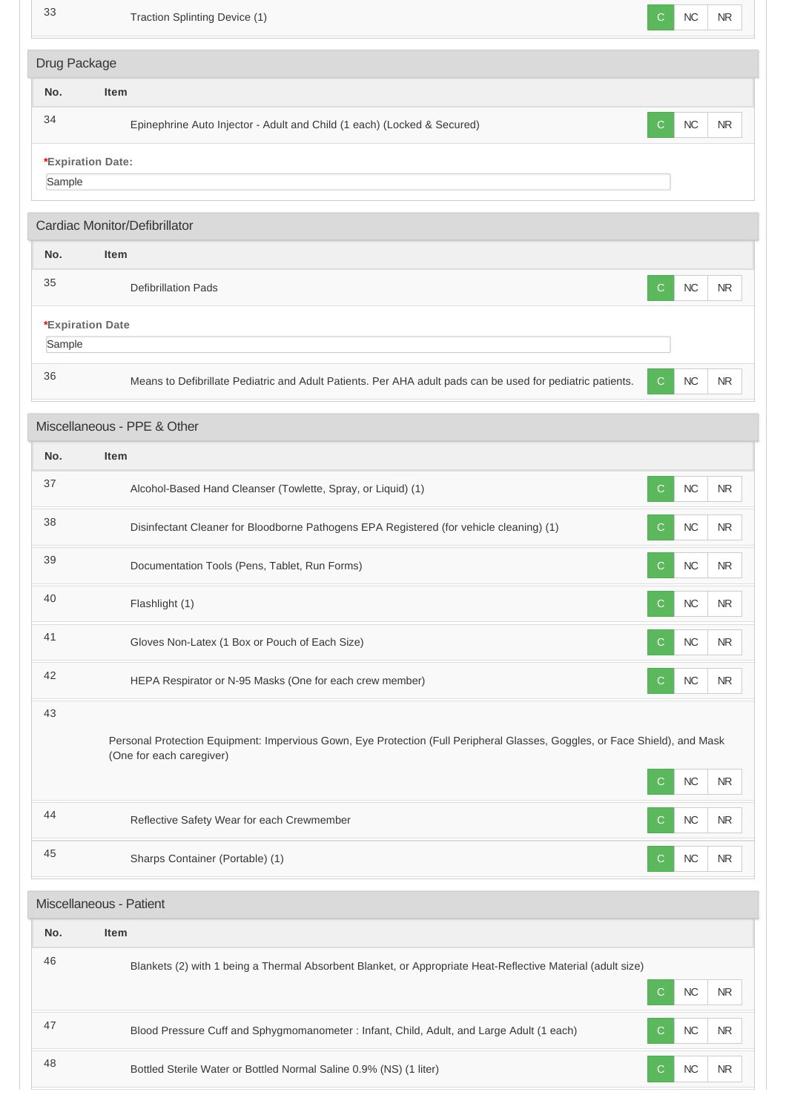| 33                                                                                                                                                            | Traction Splinting Device (1)                                                                               | C.                | <b>NC</b>               | NR.                     |
|---------------------------------------------------------------------------------------------------------------------------------------------------------------|-------------------------------------------------------------------------------------------------------------|-------------------|-------------------------|-------------------------|
| Drug Package                                                                                                                                                  |                                                                                                             |                   |                         |                         |
| No.                                                                                                                                                           | Item                                                                                                        |                   |                         |                         |
| 34                                                                                                                                                            | Epinephrine Auto Injector - Adult and Child (1 each) (Locked & Secured)                                     | C.                | <b>NC</b>               | <b>NR</b>               |
| *Expiration Date:                                                                                                                                             |                                                                                                             |                   |                         |                         |
| Sample                                                                                                                                                        |                                                                                                             |                   |                         |                         |
|                                                                                                                                                               | Cardiac Monitor/Defibrillator                                                                               |                   |                         |                         |
| No.                                                                                                                                                           | <b>Item</b>                                                                                                 |                   |                         |                         |
| 35                                                                                                                                                            | <b>Defibrillation Pads</b>                                                                                  | C.                | <b>NC</b>               | <b>NR</b>               |
| *Expiration Date<br>Sample                                                                                                                                    |                                                                                                             |                   |                         |                         |
| 36                                                                                                                                                            | Means to Defibrillate Pediatric and Adult Patients. Per AHA adult pads can be used for pediatric patients.  | $\mathsf{C}$      | <b>NC</b>               | NR.                     |
|                                                                                                                                                               | Miscellaneous - PPE & Other                                                                                 |                   |                         |                         |
| No.                                                                                                                                                           | <b>Item</b>                                                                                                 |                   |                         |                         |
| 37                                                                                                                                                            | Alcohol-Based Hand Cleanser (Towlette, Spray, or Liquid) (1)                                                | C.                | <b>NC</b>               | <b>NR</b>               |
| 38                                                                                                                                                            | Disinfectant Cleaner for Bloodborne Pathogens EPA Registered (for vehicle cleaning) (1)                     | C.                | ${\sf NC}$              | <b>NR</b>               |
| 39                                                                                                                                                            | Documentation Tools (Pens, Tablet, Run Forms)                                                               | C.                | NC                      | NR.                     |
| 40                                                                                                                                                            | Flashlight (1)                                                                                              | C                 | <b>NC</b>               | NR                      |
| 41                                                                                                                                                            | Gloves Non-Latex (1 Box or Pouch of Each Size)                                                              | $\mathsf{C}$      | ${\sf NC}$              | <b>NR</b>               |
| 42                                                                                                                                                            | HEPA Respirator or N-95 Masks (One for each crew member)                                                    | C.                | <b>NC</b>               | <b>NR</b>               |
| 43<br>Personal Protection Equipment: Impervious Gown, Eye Protection (Full Peripheral Glasses, Goggles, or Face Shield), and Mask<br>(One for each caregiver) |                                                                                                             |                   |                         |                         |
|                                                                                                                                                               |                                                                                                             | C.                | ${\sf NC}$              | <b>NR</b>               |
| 44                                                                                                                                                            | Reflective Safety Wear for each Crewmember                                                                  | $\mathsf{C}$      | ${\sf NC}$              | <b>NR</b>               |
| 45                                                                                                                                                            | Sharps Container (Portable) (1)                                                                             | C.                | ${\sf NC}$              | <b>NR</b>               |
|                                                                                                                                                               | Miscellaneous - Patient                                                                                     |                   |                         |                         |
| No.                                                                                                                                                           | Item                                                                                                        |                   |                         |                         |
| 46                                                                                                                                                            | Blankets (2) with 1 being a Thermal Absorbent Blanket, or Appropriate Heat-Reflective Material (adult size) |                   |                         |                         |
| 47                                                                                                                                                            | Blood Pressure Cuff and Sphygmomanometer : Infant, Child, Adult, and Large Adult (1 each)                   | $\mathsf{C}$<br>C | <b>NC</b><br>${\sf NC}$ | <b>NR</b><br>${\sf NR}$ |
| 48                                                                                                                                                            | Bottled Sterile Water or Bottled Normal Saline 0.9% (NS) (1 liter)                                          | C.                | ${\sf NC}$              | ${\sf NR}$              |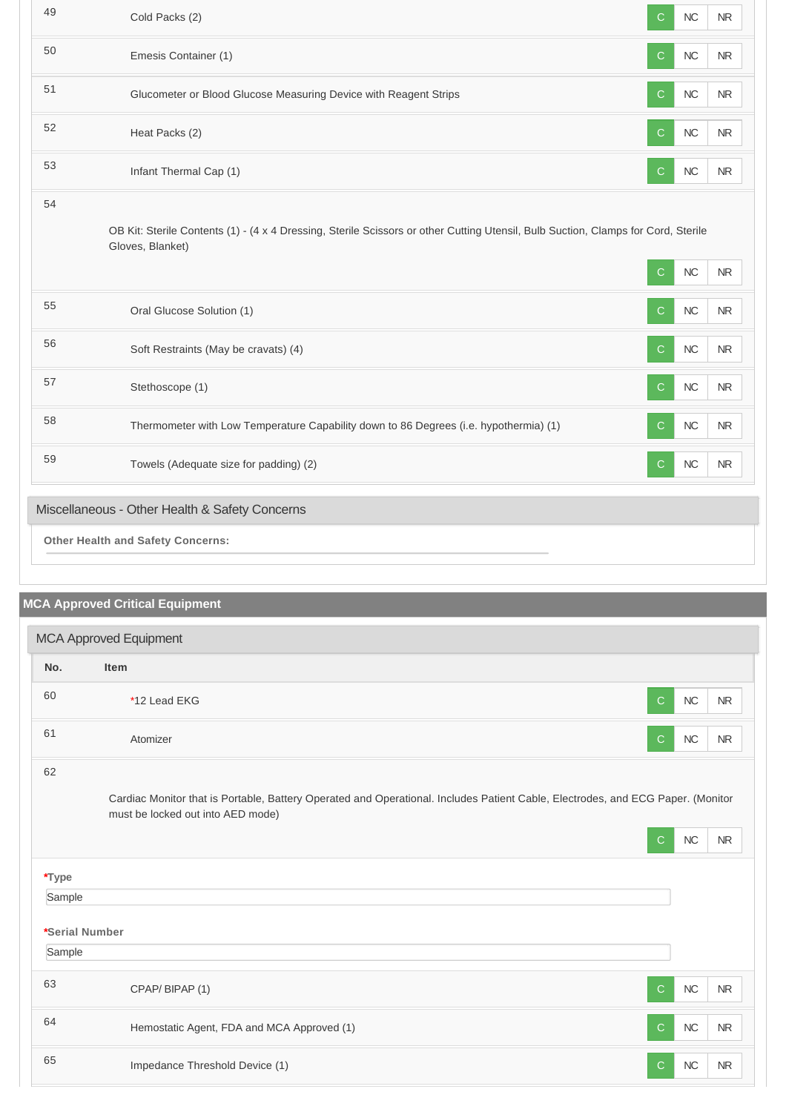| 49                                             | Cold Packs (2)                                                                                                                                        | C            | <b>NC</b> | <b>NR</b>  |
|------------------------------------------------|-------------------------------------------------------------------------------------------------------------------------------------------------------|--------------|-----------|------------|
| 50                                             | Emesis Container (1)                                                                                                                                  | C            | NC        | <b>NR</b>  |
| 51                                             | Glucometer or Blood Glucose Measuring Device with Reagent Strips                                                                                      | C            | $NC$      | <b>NR</b>  |
| 52                                             | Heat Packs (2)                                                                                                                                        | C            | $NC$      | <b>NR</b>  |
| 53                                             | Infant Thermal Cap (1)                                                                                                                                | C            | NC        | <b>NR</b>  |
| 54                                             | OB Kit: Sterile Contents (1) - (4 x 4 Dressing, Sterile Scissors or other Cutting Utensil, Bulb Suction, Clamps for Cord, Sterile<br>Gloves, Blanket) | $\mathsf{C}$ | $NC$      | <b>NR</b>  |
| 55                                             |                                                                                                                                                       |              |           |            |
|                                                | Oral Glucose Solution (1)                                                                                                                             | $\mathsf{C}$ | <b>NC</b> | <b>NR</b>  |
| 56                                             | Soft Restraints (May be cravats) (4)                                                                                                                  | C            | NC        | <b>NR</b>  |
| 57                                             | Stethoscope (1)                                                                                                                                       | $\mathsf{C}$ | <b>NC</b> | <b>NR</b>  |
| 58                                             | Thermometer with Low Temperature Capability down to 86 Degrees (i.e. hypothermia) (1)                                                                 | C            | NC        | ${\sf NR}$ |
| 59                                             | Towels (Adequate size for padding) (2)                                                                                                                | C            | $NC$      | <b>NR</b>  |
| Miscellaneous - Other Health & Safety Concerns |                                                                                                                                                       |              |           |            |
|                                                | <b>Other Health and Safety Concerns:</b>                                                                                                              |              |           |            |

# **MCA Approved Critical Equipment**

| <b>MCA Approved Equipment</b> |                                                                                                                                                                      |              |            |           |  |
|-------------------------------|----------------------------------------------------------------------------------------------------------------------------------------------------------------------|--------------|------------|-----------|--|
| No.                           | Item                                                                                                                                                                 |              |            |           |  |
| 60                            | *12 Lead EKG                                                                                                                                                         | $\mathsf{C}$ | NC         | <b>NR</b> |  |
| 61                            | Atomizer                                                                                                                                                             | $\mathsf{C}$ | NC         | <b>NR</b> |  |
| 62                            | Cardiac Monitor that is Portable, Battery Operated and Operational. Includes Patient Cable, Electrodes, and ECG Paper. (Monitor<br>must be locked out into AED mode) |              |            |           |  |
|                               |                                                                                                                                                                      | C            | $NC$       | <b>NR</b> |  |
| *Type                         |                                                                                                                                                                      |              |            |           |  |
| Sample                        |                                                                                                                                                                      |              |            |           |  |
| *Serial Number                |                                                                                                                                                                      |              |            |           |  |
| Sample                        |                                                                                                                                                                      |              |            |           |  |
| 63                            | CPAP/BIPAP (1)                                                                                                                                                       | $\mathsf{C}$ | ${\sf NC}$ | <b>NR</b> |  |
| 64                            | Hemostatic Agent, FDA and MCA Approved (1)                                                                                                                           | $\mathsf{C}$ | NC         | <b>NR</b> |  |
| 65                            | Impedance Threshold Device (1)                                                                                                                                       | $\mathbf C$  | NC         | <b>NR</b> |  |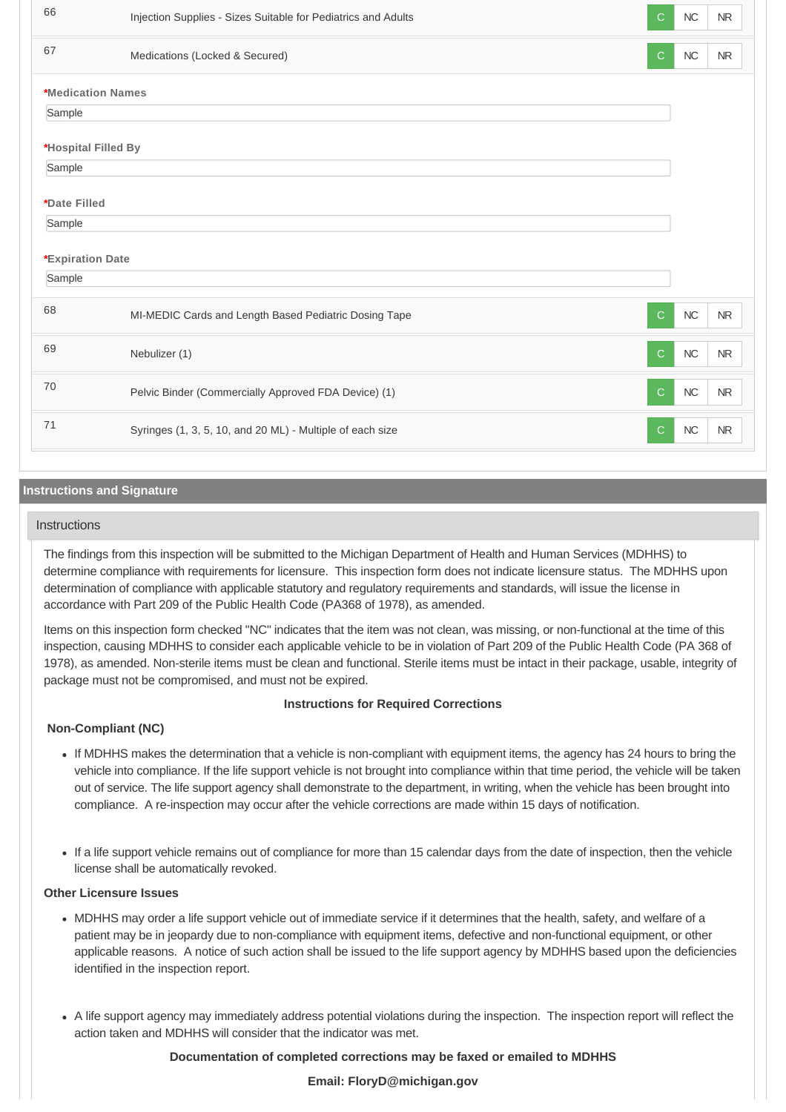| 66                  | Injection Supplies - Sizes Suitable for Pediatrics and Adults | С             | NC         | N <sub>R</sub> |
|---------------------|---------------------------------------------------------------|---------------|------------|----------------|
| 67                  | Medications (Locked & Secured)                                | С             | NC         | $\sf NR$       |
| *Medication Names   |                                                               |               |            |                |
| Sample              |                                                               |               |            |                |
| *Hospital Filled By |                                                               |               |            |                |
| Sample              |                                                               |               |            |                |
| *Date Filled        |                                                               |               |            |                |
| Sample              |                                                               |               |            |                |
| *Expiration Date    |                                                               |               |            |                |
| Sample              |                                                               |               |            |                |
| 68                  | MI-MEDIC Cards and Length Based Pediatric Dosing Tape         | $\mathcal{C}$ | NC         | <b>NR</b>      |
| 69                  | Nebulizer (1)                                                 | $\mathcal{C}$ | ${\sf NC}$ | $\sf NR$       |
| 70                  | Pelvic Binder (Commercially Approved FDA Device) (1)          | $\mathsf{C}$  | NC         | <b>NR</b>      |
| 71                  | Syringes (1, 3, 5, 10, and 20 ML) - Multiple of each size     | C             | ${\sf NC}$ | N <sub>R</sub> |

# **Instructions and Signature**

#### **Instructions**

The findings from this inspection will be submitted to the Michigan Department of Health and Human Services (MDHHS) to determine compliance with requirements for licensure. This inspection form does not indicate licensure status. The MDHHS upon determination of compliance with applicable statutory and regulatory requirements and standards, will issue the license in accordance with Part 209 of the Public Health Code (PA368 of 1978), as amended.

Items on this inspection form checked "NC" indicates that the item was not clean, was missing, or non-functional at the time of this inspection, causing MDHHS to consider each applicable vehicle to be in violation of Part 209 of the Public Health Code (PA 368 of 1978), as amended. Non-sterile items must be clean and functional. Sterile items must be intact in their package, usable, integrity of package must not be compromised, and must not be expired.

#### **Instructions for Required Corrections**

# **Non-Compliant (NC)**

- If MDHHS makes the determination that a vehicle is non-compliant with equipment items, the agency has 24 hours to bring the vehicle into compliance. If the life support vehicle is not brought into compliance within that time period, the vehicle will be taken out of service. The life support agency shall demonstrate to the department, in writing, when the vehicle has been brought into compliance. A re-inspection may occur after the vehicle corrections are made within 15 days of notification.
- If a life support vehicle remains out of compliance for more than 15 calendar days from the date of inspection, then the vehicle license shall be automatically revoked.

#### **Other Licensure Issues**

- MDHHS may order a life support vehicle out of immediate service if it determines that the health, safety, and welfare of a patient may be in jeopardy due to non-compliance with equipment items, defective and non-functional equipment, or other applicable reasons. A notice of such action shall be issued to the life support agency by MDHHS based upon the deficiencies identified in the inspection report.
- A life support agency may immediately address potential violations during the inspection. The inspection report will reflect the action taken and MDHHS will consider that the indicator was met.

#### **Documentation of completed corrections may be faxed or emailed to MDHHS**

### **Email: FloryD@michigan.gov**